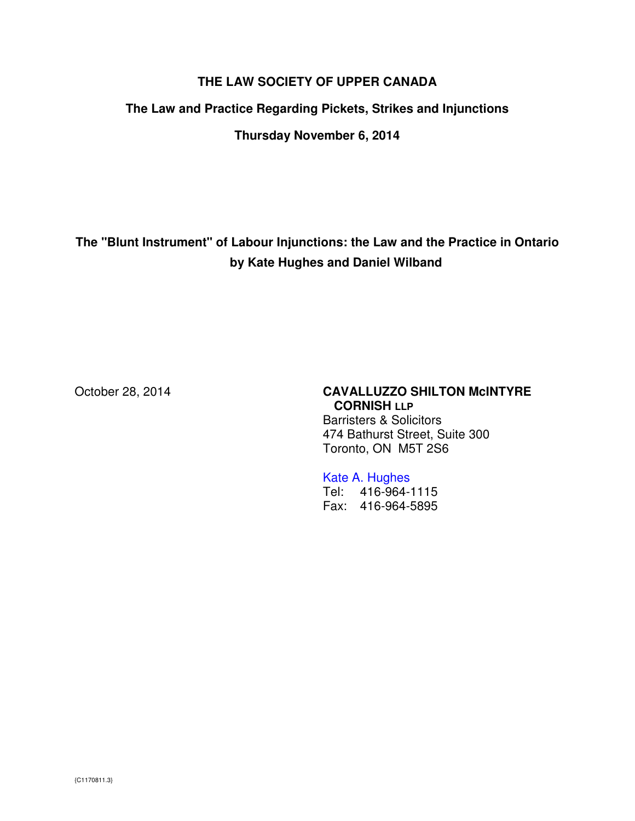# **THE LAW SOCIETY OF UPPER CANADA**

#### **The Law and Practice Regarding Pickets, Strikes and Injunctions**

**Thursday November 6, 2014** 

**The "Blunt Instrument" of Labour Injunctions: the Law and the Practice in Ontario by Kate Hughes and Daniel Wilband** 

### October 28, 2014 **CAVALLUZZO SHILTON McINTYRE CORNISH LLP**

Barristers & Solicitors 474 Bathurst Street, Suite 300 Toronto, ON M5T 2S6

#### Kate A. Hughes

Tel: 416-964-1115 Fax: 416-964-5895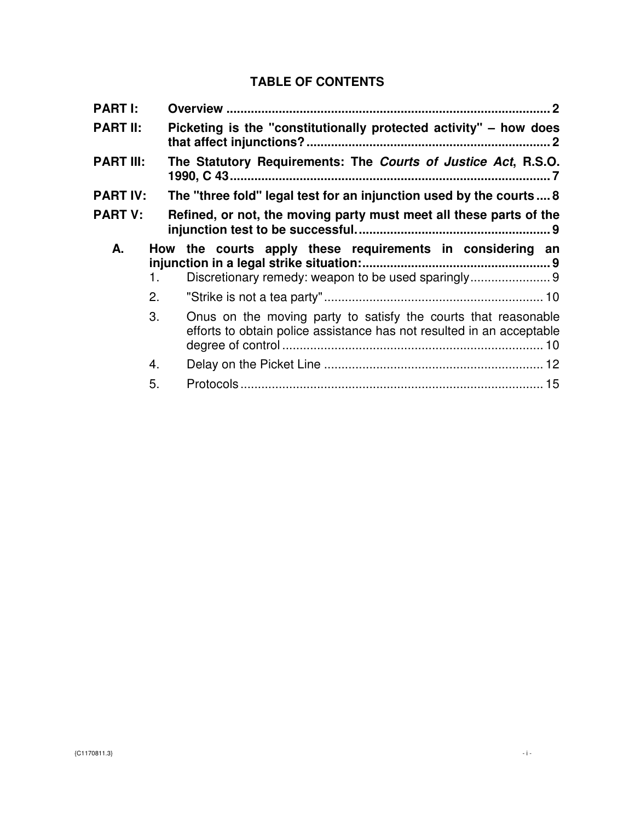# **TABLE OF CONTENTS**

| <b>PART I:</b>   |    |                                                                                                                                         |
|------------------|----|-----------------------------------------------------------------------------------------------------------------------------------------|
| <b>PART II:</b>  |    | Picketing is the "constitutionally protected activity" – how does                                                                       |
| <b>PART III:</b> |    | The Statutory Requirements: The Courts of Justice Act, R.S.O.                                                                           |
| <b>PART IV:</b>  |    | The "three fold" legal test for an injunction used by the courts  8                                                                     |
| <b>PART V:</b>   |    | Refined, or not, the moving party must meet all these parts of the                                                                      |
| А.               | 1. | How the courts apply these requirements in considering an<br>Discretionary remedy: weapon to be used sparingly9                         |
|                  | 2. |                                                                                                                                         |
|                  | 3. | Onus on the moving party to satisfy the courts that reasonable<br>efforts to obtain police assistance has not resulted in an acceptable |
|                  | 4. |                                                                                                                                         |
|                  | 5. |                                                                                                                                         |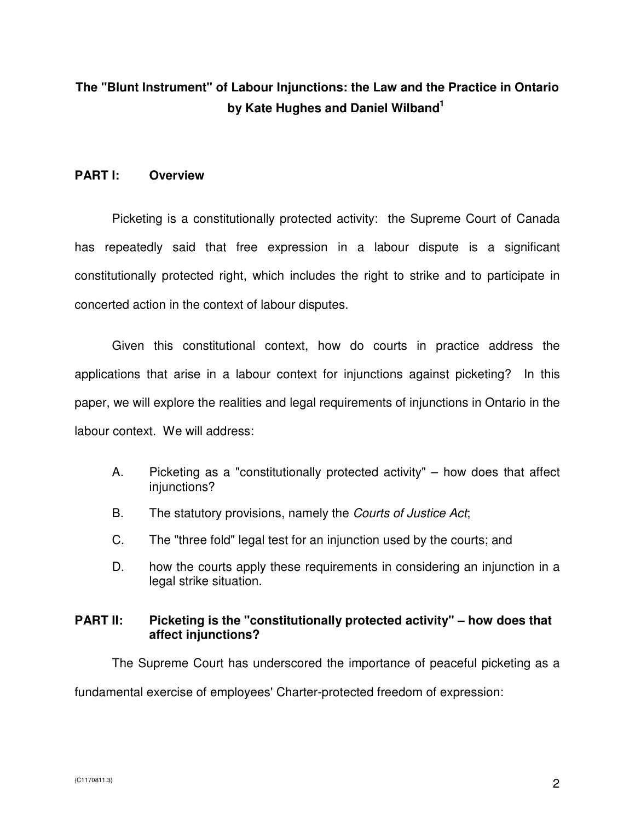# **The "Blunt Instrument" of Labour Injunctions: the Law and the Practice in Ontario by Kate Hughes and Daniel Wilband<sup>1</sup>**

#### **PART I: Overview**

Picketing is a constitutionally protected activity: the Supreme Court of Canada has repeatedly said that free expression in a labour dispute is a significant constitutionally protected right, which includes the right to strike and to participate in concerted action in the context of labour disputes.

Given this constitutional context, how do courts in practice address the applications that arise in a labour context for injunctions against picketing? In this paper, we will explore the realities and legal requirements of injunctions in Ontario in the labour context. We will address:

- A. Picketing as a "constitutionally protected activity" how does that affect injunctions?
- B. The statutory provisions, namely the Courts of Justice Act;
- C. The "three fold" legal test for an injunction used by the courts; and
- D. how the courts apply these requirements in considering an injunction in a legal strike situation.

#### **PART II: Picketing is the "constitutionally protected activity" – how does that affect injunctions?**

 The Supreme Court has underscored the importance of peaceful picketing as a fundamental exercise of employees' Charter-protected freedom of expression: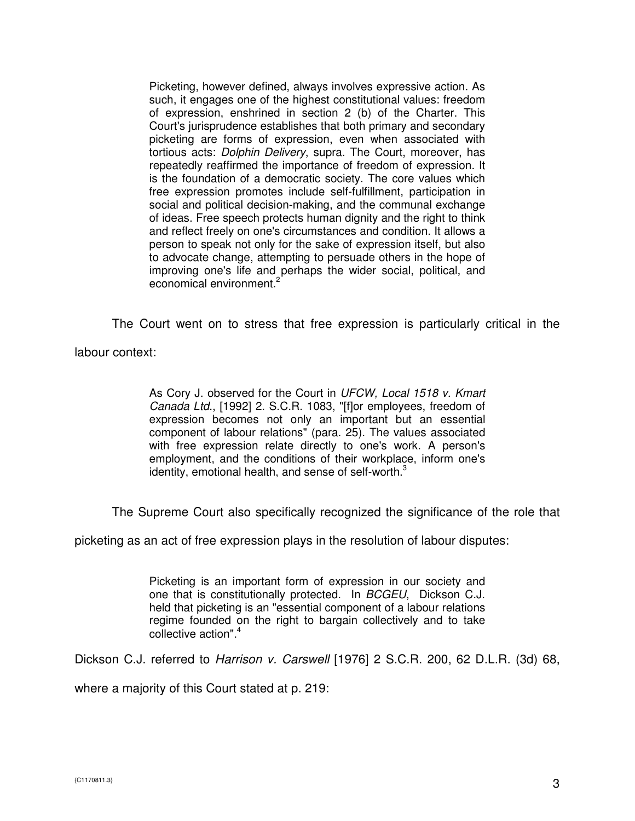Picketing, however defined, always involves expressive action. As such, it engages one of the highest constitutional values: freedom of expression, enshrined in section 2 (b) of the Charter. This Court's jurisprudence establishes that both primary and secondary picketing are forms of expression, even when associated with tortious acts: Dolphin Delivery, supra. The Court, moreover, has repeatedly reaffirmed the importance of freedom of expression. It is the foundation of a democratic society. The core values which free expression promotes include self-fulfillment, participation in social and political decision-making, and the communal exchange of ideas. Free speech protects human dignity and the right to think and reflect freely on one's circumstances and condition. It allows a person to speak not only for the sake of expression itself, but also to advocate change, attempting to persuade others in the hope of improving one's life and perhaps the wider social, political, and economical environment.<sup>2</sup>

The Court went on to stress that free expression is particularly critical in the

labour context:

As Cory J. observed for the Court in UFCW, Local 1518 v. Kmart Canada Ltd., [1992] 2. S.C.R. 1083, "[f]or employees, freedom of expression becomes not only an important but an essential component of labour relations" (para. 25). The values associated with free expression relate directly to one's work. A person's employment, and the conditions of their workplace, inform one's identity, emotional health, and sense of self-worth.<sup>3</sup>

The Supreme Court also specifically recognized the significance of the role that

picketing as an act of free expression plays in the resolution of labour disputes:

Picketing is an important form of expression in our society and one that is constitutionally protected. In BCGEU, Dickson C.J. held that picketing is an "essential component of a labour relations regime founded on the right to bargain collectively and to take collective action".<sup>4</sup>

Dickson C.J. referred to Harrison v. Carswell [1976] 2 S.C.R. 200, 62 D.L.R. (3d) 68,

where a majority of this Court stated at p. 219: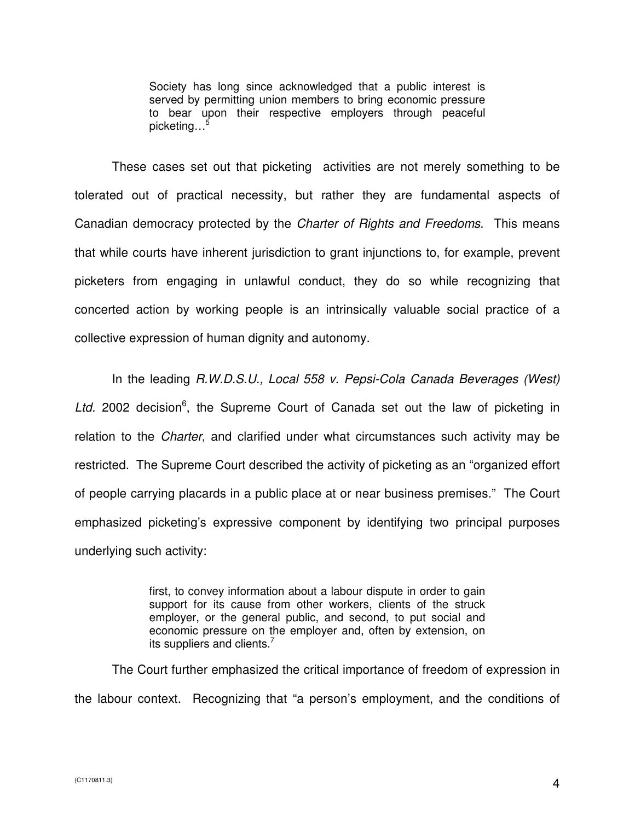Society has long since acknowledged that a public interest is served by permitting union members to bring economic pressure to bear upon their respective employers through peaceful picketing…<sup>5</sup>

These cases set out that picketing activities are not merely something to be tolerated out of practical necessity, but rather they are fundamental aspects of Canadian democracy protected by the Charter of Rights and Freedoms. This means that while courts have inherent jurisdiction to grant injunctions to, for example, prevent picketers from engaging in unlawful conduct, they do so while recognizing that concerted action by working people is an intrinsically valuable social practice of a collective expression of human dignity and autonomy.

In the leading R.W.D.S.U., Local 558 v. Pepsi-Cola Canada Beverages (West) Ltd. 2002 decision<sup>6</sup>, the Supreme Court of Canada set out the law of picketing in relation to the Charter, and clarified under what circumstances such activity may be restricted. The Supreme Court described the activity of picketing as an "organized effort of people carrying placards in a public place at or near business premises." The Court emphasized picketing's expressive component by identifying two principal purposes underlying such activity:

> first, to convey information about a labour dispute in order to gain support for its cause from other workers, clients of the struck employer, or the general public, and second, to put social and economic pressure on the employer and, often by extension, on its suppliers and clients.<sup>7</sup>

The Court further emphasized the critical importance of freedom of expression in the labour context. Recognizing that "a person's employment, and the conditions of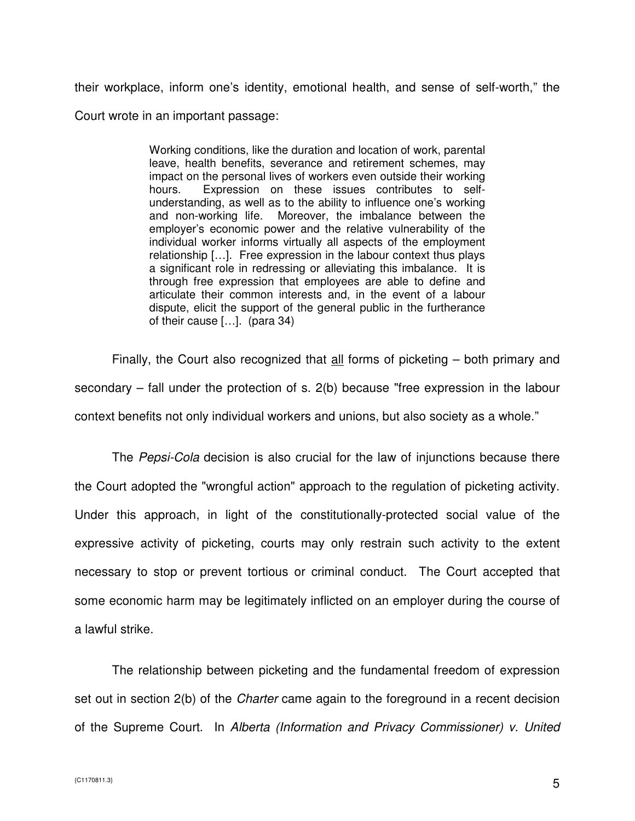their workplace, inform one's identity, emotional health, and sense of self-worth," the

Court wrote in an important passage:

Working conditions, like the duration and location of work, parental leave, health benefits, severance and retirement schemes, may impact on the personal lives of workers even outside their working hours. Expression on these issues contributes to selfunderstanding, as well as to the ability to influence one's working and non-working life. Moreover, the imbalance between the employer's economic power and the relative vulnerability of the individual worker informs virtually all aspects of the employment relationship […]. Free expression in the labour context thus plays a significant role in redressing or alleviating this imbalance. It is through free expression that employees are able to define and articulate their common interests and, in the event of a labour dispute, elicit the support of the general public in the furtherance of their cause […]. (para 34)

Finally, the Court also recognized that all forms of picketing – both primary and secondary – fall under the protection of s. 2(b) because "free expression in the labour context benefits not only individual workers and unions, but also society as a whole."

The Pepsi-Cola decision is also crucial for the law of injunctions because there the Court adopted the "wrongful action" approach to the regulation of picketing activity. Under this approach, in light of the constitutionally-protected social value of the expressive activity of picketing, courts may only restrain such activity to the extent necessary to stop or prevent tortious or criminal conduct. The Court accepted that some economic harm may be legitimately inflicted on an employer during the course of a lawful strike.

The relationship between picketing and the fundamental freedom of expression set out in section 2(b) of the *Charter* came again to the foreground in a recent decision of the Supreme Court. In Alberta (Information and Privacy Commissioner) v. United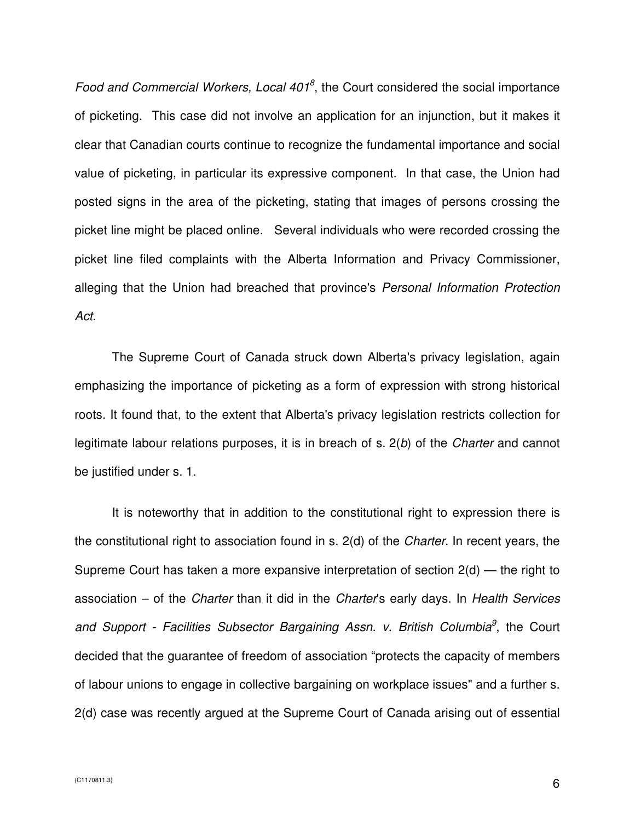Food and Commercial Workers, Local  $401<sup>8</sup>$ , the Court considered the social importance of picketing. This case did not involve an application for an injunction, but it makes it clear that Canadian courts continue to recognize the fundamental importance and social value of picketing, in particular its expressive component. In that case, the Union had posted signs in the area of the picketing, stating that images of persons crossing the picket line might be placed online. Several individuals who were recorded crossing the picket line filed complaints with the Alberta Information and Privacy Commissioner, alleging that the Union had breached that province's Personal Information Protection Act.

The Supreme Court of Canada struck down Alberta's privacy legislation, again emphasizing the importance of picketing as a form of expression with strong historical roots. It found that, to the extent that Alberta's privacy legislation restricts collection for legitimate labour relations purposes, it is in breach of s. 2(b) of the *Charter* and cannot be justified under s. 1.

It is noteworthy that in addition to the constitutional right to expression there is the constitutional right to association found in s. 2(d) of the Charter. In recent years, the Supreme Court has taken a more expansive interpretation of section 2(d) — the right to association – of the Charter than it did in the Charter's early days. In Health Services and Support - Facilities Subsector Bargaining Assn. v. British Columbia<sup>9</sup>, the Court decided that the guarantee of freedom of association "protects the capacity of members of labour unions to engage in collective bargaining on workplace issues" and a further s. 2(d) case was recently argued at the Supreme Court of Canada arising out of essential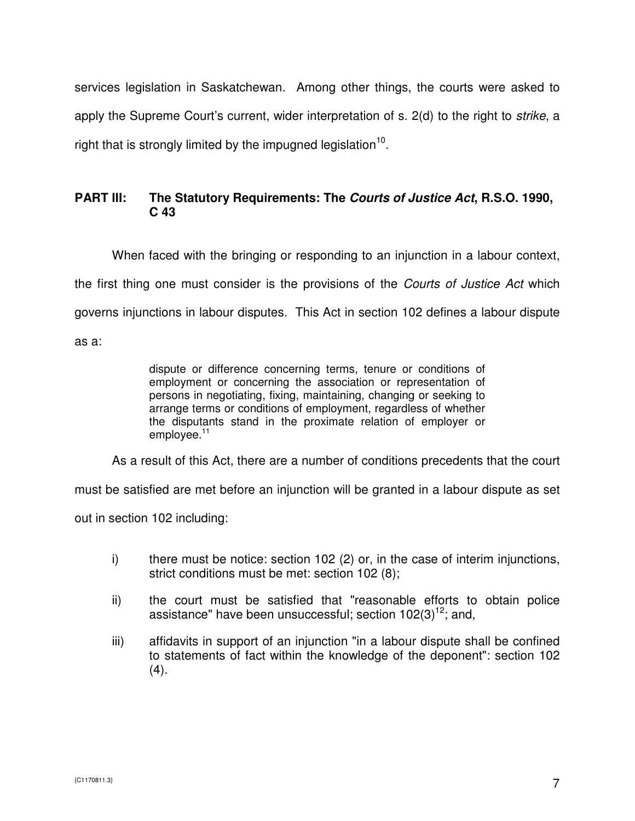services legislation in Saskatchewan. Among other things, the courts were asked to apply the Supreme Court's current, wider interpretation of s. 2(d) to the right to strike, a right that is strongly limited by the impugned legislation $^{10}$ .

# **PART III: The Statutory Requirements: The Courts of Justice Act, R.S.O. 1990, C 43**

When faced with the bringing or responding to an injunction in a labour context, the first thing one must consider is the provisions of the *Courts of Justice Act* which governs injunctions in labour disputes. This Act in section 102 defines a labour dispute as a:

dispute or difference concerning terms, tenure or conditions of employment or concerning the association or representation of persons in negotiating, fixing, maintaining, changing or seeking to arrange terms or conditions of employment, regardless of whether the disputants stand in the proximate relation of employer or employee.<sup>11</sup>

As a result of this Act, there are a number of conditions precedents that the court

must be satisfied are met before an injunction will be granted in a labour dispute as set

out in section 102 including:

- i) there must be notice: section 102 (2) or, in the case of interim injunctions, strict conditions must be met: section 102 (8);
- ii) the court must be satisfied that "reasonable efforts to obtain police assistance" have been unsuccessful; section  $102(3)^{12}$ ; and,
- iii) affidavits in support of an injunction "in a labour dispute shall be confined to statements of fact within the knowledge of the deponent": section 102  $(4).$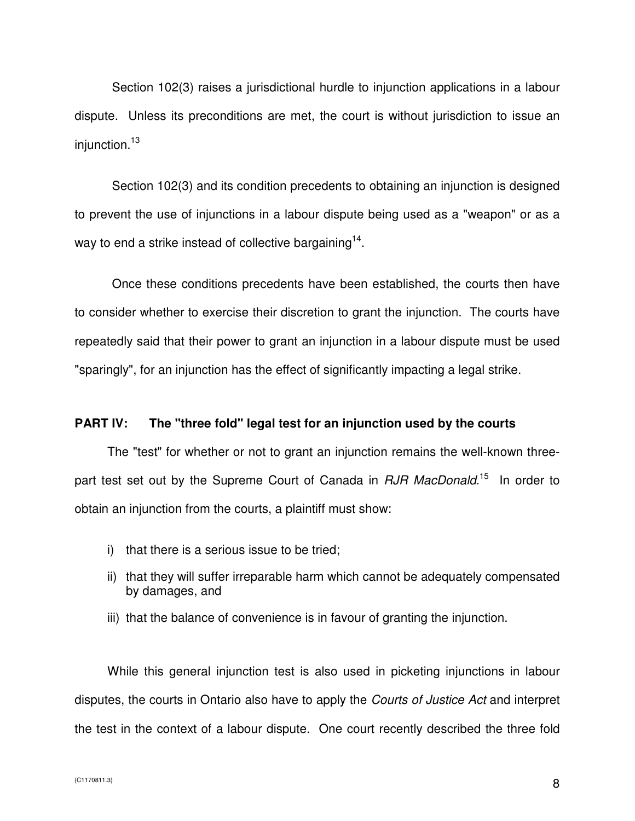Section 102(3) raises a jurisdictional hurdle to injunction applications in a labour dispute. Unless its preconditions are met, the court is without jurisdiction to issue an injunction.<sup>13</sup>

Section 102(3) and its condition precedents to obtaining an injunction is designed to prevent the use of injunctions in a labour dispute being used as a "weapon" or as a way to end a strike instead of collective bargaining<sup>14</sup>.

Once these conditions precedents have been established, the courts then have to consider whether to exercise their discretion to grant the injunction. The courts have repeatedly said that their power to grant an injunction in a labour dispute must be used "sparingly", for an injunction has the effect of significantly impacting a legal strike.

#### **PART IV: The "three fold" legal test for an injunction used by the courts**

The "test" for whether or not to grant an injunction remains the well-known threepart test set out by the Supreme Court of Canada in *RJR MacDonald*.<sup>15</sup> In order to obtain an injunction from the courts, a plaintiff must show:

- i) that there is a serious issue to be tried;
- ii) that they will suffer irreparable harm which cannot be adequately compensated by damages, and
- iii) that the balance of convenience is in favour of granting the injunction.

While this general injunction test is also used in picketing injunctions in labour disputes, the courts in Ontario also have to apply the Courts of Justice Act and interpret the test in the context of a labour dispute. One court recently described the three fold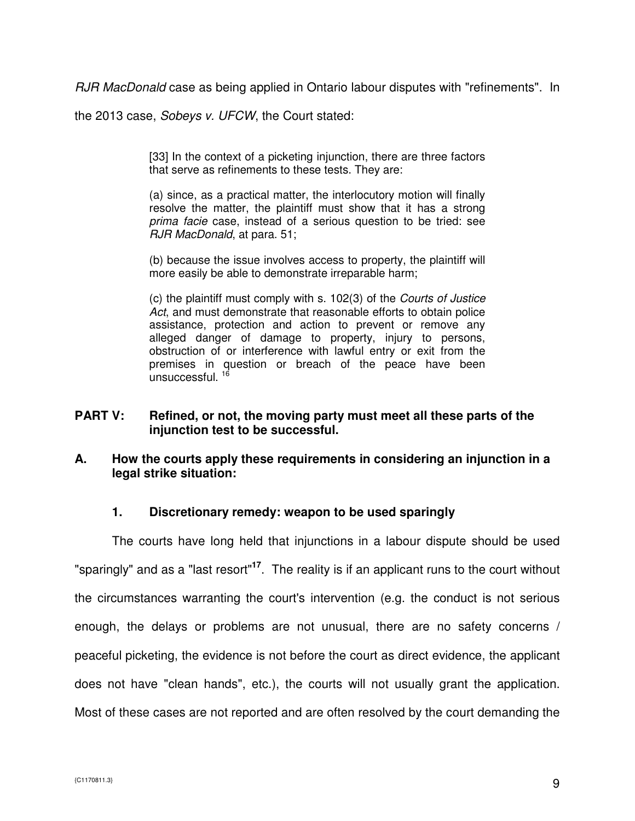RJR MacDonald case as being applied in Ontario labour disputes with "refinements". In

the 2013 case, Sobeys v. UFCW, the Court stated:

[33] In the context of a picketing injunction, there are three factors that serve as refinements to these tests. They are:

(a) since, as a practical matter, the interlocutory motion will finally resolve the matter, the plaintiff must show that it has a strong prima facie case, instead of a serious question to be tried: see RJR MacDonald, at para. 51;

(b) because the issue involves access to property, the plaintiff will more easily be able to demonstrate irreparable harm;

(c) the plaintiff must comply with s. 102(3) of the Courts of Justice Act, and must demonstrate that reasonable efforts to obtain police assistance, protection and action to prevent or remove any alleged danger of damage to property, injury to persons, obstruction of or interference with lawful entry or exit from the premises in question or breach of the peace have been unsuccessful.<sup>16</sup>

#### **PART V: Refined, or not, the moving party must meet all these parts of the injunction test to be successful.**

#### **A. How the courts apply these requirements in considering an injunction in a legal strike situation:**

#### **1. Discretionary remedy: weapon to be used sparingly**

The courts have long held that injunctions in a labour dispute should be used "sparingly" and as a "last resort"**<sup>17</sup>**. The reality is if an applicant runs to the court without the circumstances warranting the court's intervention (e.g. the conduct is not serious enough, the delays or problems are not unusual, there are no safety concerns / peaceful picketing, the evidence is not before the court as direct evidence, the applicant does not have "clean hands", etc.), the courts will not usually grant the application. Most of these cases are not reported and are often resolved by the court demanding the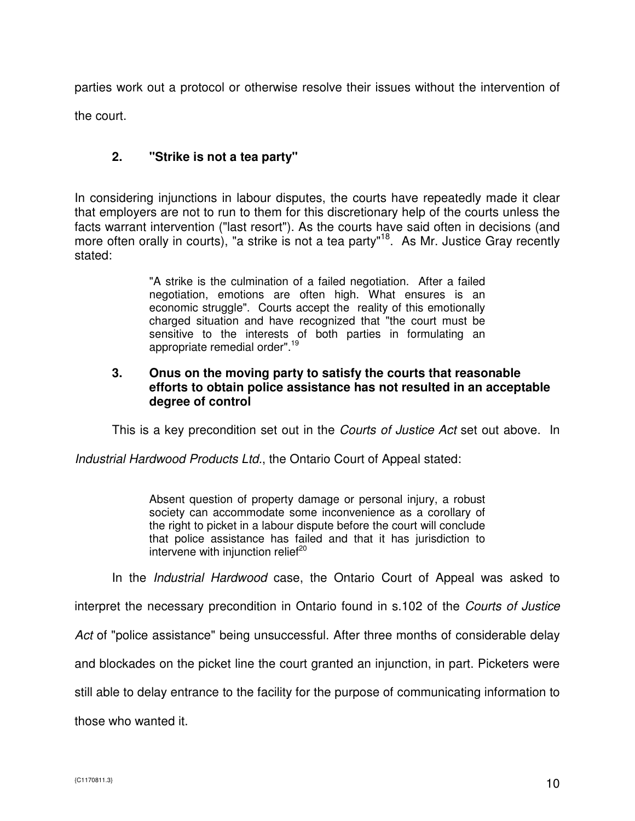parties work out a protocol or otherwise resolve their issues without the intervention of the court.

## **2. "Strike is not a tea party"**

In considering injunctions in labour disputes, the courts have repeatedly made it clear that employers are not to run to them for this discretionary help of the courts unless the facts warrant intervention ("last resort"). As the courts have said often in decisions (and more often orally in courts), "a strike is not a tea party"<sup>18</sup>. As Mr. Justice Gray recently stated:

> "A strike is the culmination of a failed negotiation. After a failed negotiation, emotions are often high. What ensures is an economic struggle". Courts accept the reality of this emotionally charged situation and have recognized that "the court must be sensitive to the interests of both parties in formulating an appropriate remedial order".<sup>19</sup>

#### **3. Onus on the moving party to satisfy the courts that reasonable efforts to obtain police assistance has not resulted in an acceptable degree of control**

This is a key precondition set out in the *Courts of Justice Act* set out above. In

Industrial Hardwood Products Ltd., the Ontario Court of Appeal stated:

Absent question of property damage or personal injury, a robust society can accommodate some inconvenience as a corollary of the right to picket in a labour dispute before the court will conclude that police assistance has failed and that it has jurisdiction to intervene with injunction relief $20$ 

In the Industrial Hardwood case, the Ontario Court of Appeal was asked to

interpret the necessary precondition in Ontario found in s.102 of the Courts of Justice

Act of "police assistance" being unsuccessful. After three months of considerable delay

and blockades on the picket line the court granted an injunction, in part. Picketers were

still able to delay entrance to the facility for the purpose of communicating information to

those who wanted it.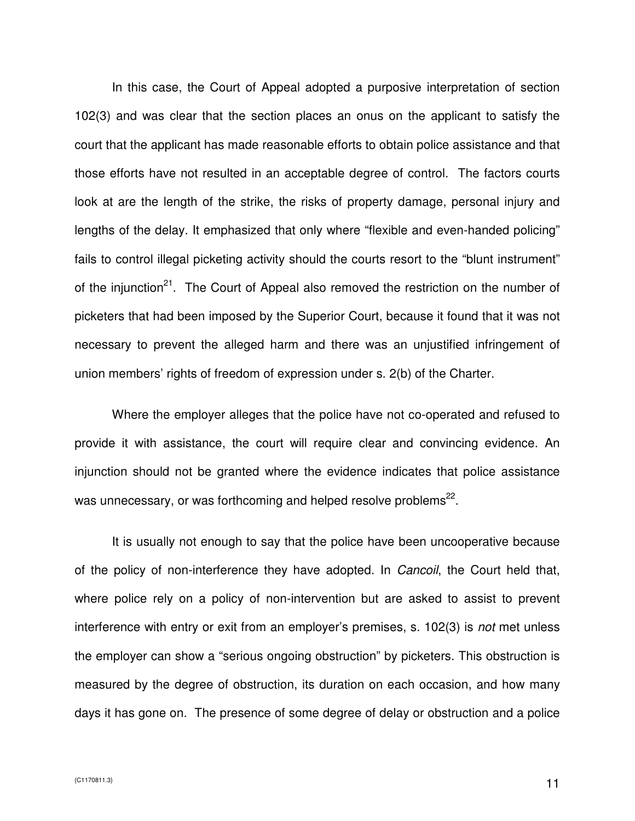In this case, the Court of Appeal adopted a purposive interpretation of section 102(3) and was clear that the section places an onus on the applicant to satisfy the court that the applicant has made reasonable efforts to obtain police assistance and that those efforts have not resulted in an acceptable degree of control. The factors courts look at are the length of the strike, the risks of property damage, personal injury and lengths of the delay. It emphasized that only where "flexible and even-handed policing" fails to control illegal picketing activity should the courts resort to the "blunt instrument" of the injunction<sup>21</sup>. The Court of Appeal also removed the restriction on the number of picketers that had been imposed by the Superior Court, because it found that it was not necessary to prevent the alleged harm and there was an unjustified infringement of union members' rights of freedom of expression under s. 2(b) of the Charter.

Where the employer alleges that the police have not co-operated and refused to provide it with assistance, the court will require clear and convincing evidence. An injunction should not be granted where the evidence indicates that police assistance was unnecessary, or was forthcoming and helped resolve problems $^{22}$ .

It is usually not enough to say that the police have been uncooperative because of the policy of non-interference they have adopted. In *Cancoil*, the Court held that, where police rely on a policy of non-intervention but are asked to assist to prevent interference with entry or exit from an employer's premises, s. 102(3) is *not* met unless the employer can show a "serious ongoing obstruction" by picketers. This obstruction is measured by the degree of obstruction, its duration on each occasion, and how many days it has gone on. The presence of some degree of delay or obstruction and a police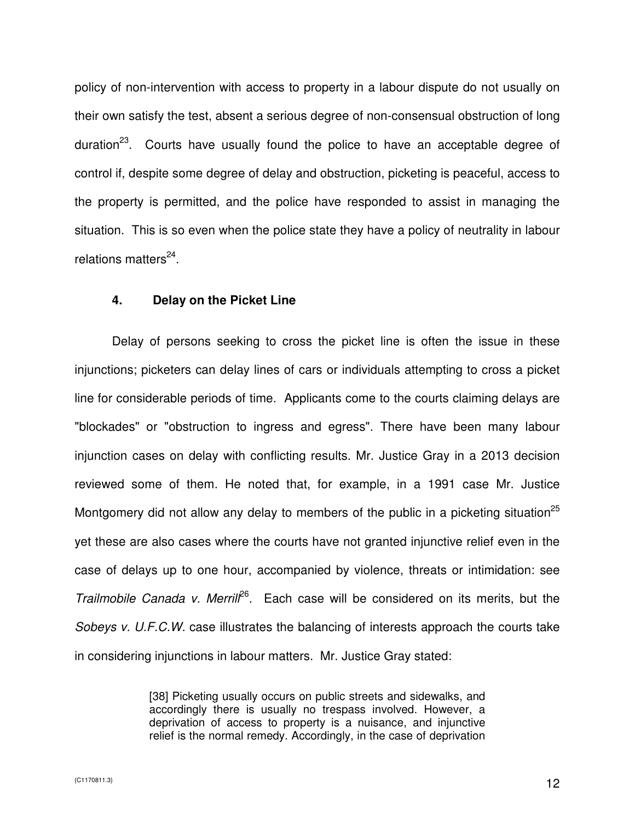policy of non-intervention with access to property in a labour dispute do not usually on their own satisfy the test, absent a serious degree of non-consensual obstruction of long duration<sup>23</sup>. Courts have usually found the police to have an acceptable degree of control if, despite some degree of delay and obstruction, picketing is peaceful, access to the property is permitted, and the police have responded to assist in managing the situation. This is so even when the police state they have a policy of neutrality in labour relations matters<sup>24</sup>.

#### **4. Delay on the Picket Line**

Delay of persons seeking to cross the picket line is often the issue in these injunctions; picketers can delay lines of cars or individuals attempting to cross a picket line for considerable periods of time. Applicants come to the courts claiming delays are "blockades" or "obstruction to ingress and egress". There have been many labour injunction cases on delay with conflicting results. Mr. Justice Gray in a 2013 decision reviewed some of them. He noted that, for example, in a 1991 case Mr. Justice Montgomery did not allow any delay to members of the public in a picketing situation<sup>25</sup> yet these are also cases where the courts have not granted injunctive relief even in the case of delays up to one hour, accompanied by violence, threats or intimidation: see Trailmobile Canada v. Merril $l^{6}$ . Each case will be considered on its merits, but the Sobeys v. U.F.C.W. case illustrates the balancing of interests approach the courts take in considering injunctions in labour matters. Mr. Justice Gray stated:

> [38] Picketing usually occurs on public streets and sidewalks, and accordingly there is usually no trespass involved. However, a deprivation of access to property is a nuisance, and injunctive relief is the normal remedy. Accordingly, in the case of deprivation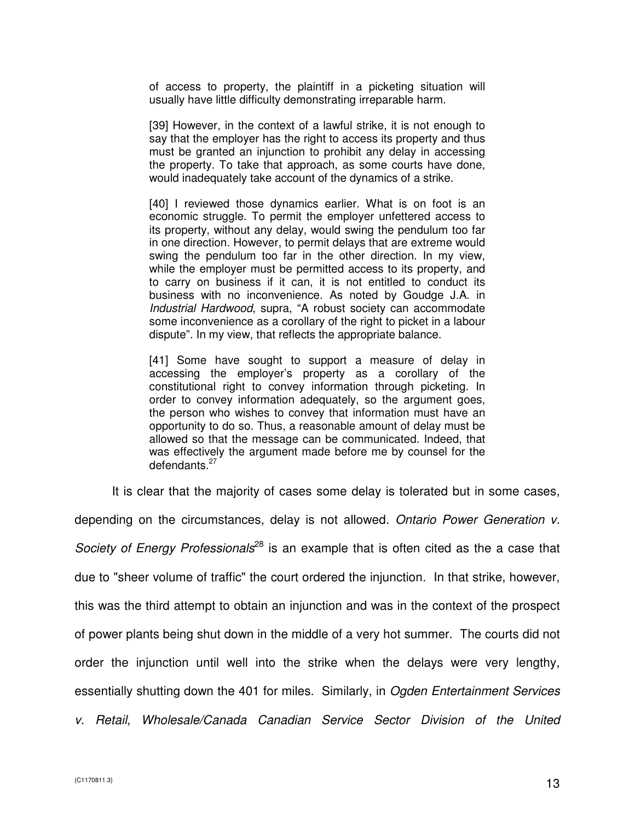of access to property, the plaintiff in a picketing situation will usually have little difficulty demonstrating irreparable harm.

[39] However, in the context of a lawful strike, it is not enough to say that the employer has the right to access its property and thus must be granted an injunction to prohibit any delay in accessing the property. To take that approach, as some courts have done, would inadequately take account of the dynamics of a strike.

[40] I reviewed those dynamics earlier. What is on foot is an economic struggle. To permit the employer unfettered access to its property, without any delay, would swing the pendulum too far in one direction. However, to permit delays that are extreme would swing the pendulum too far in the other direction. In my view, while the employer must be permitted access to its property, and to carry on business if it can, it is not entitled to conduct its business with no inconvenience. As noted by Goudge J.A. in Industrial Hardwood, supra, "A robust society can accommodate some inconvenience as a corollary of the right to picket in a labour dispute". In my view, that reflects the appropriate balance.

[41] Some have sought to support a measure of delay in accessing the employer's property as a corollary of the constitutional right to convey information through picketing. In order to convey information adequately, so the argument goes, the person who wishes to convey that information must have an opportunity to do so. Thus, a reasonable amount of delay must be allowed so that the message can be communicated. Indeed, that was effectively the argument made before me by counsel for the defendants. $27$ 

It is clear that the majority of cases some delay is tolerated but in some cases,

depending on the circumstances, delay is not allowed. Ontario Power Generation v. Society of Energy Professionals<sup>28</sup> is an example that is often cited as the a case that due to "sheer volume of traffic" the court ordered the injunction. In that strike, however, this was the third attempt to obtain an injunction and was in the context of the prospect of power plants being shut down in the middle of a very hot summer. The courts did not order the injunction until well into the strike when the delays were very lengthy, essentially shutting down the 401 for miles. Similarly, in Ogden Entertainment Services v. Retail, Wholesale/Canada Canadian Service Sector Division of the United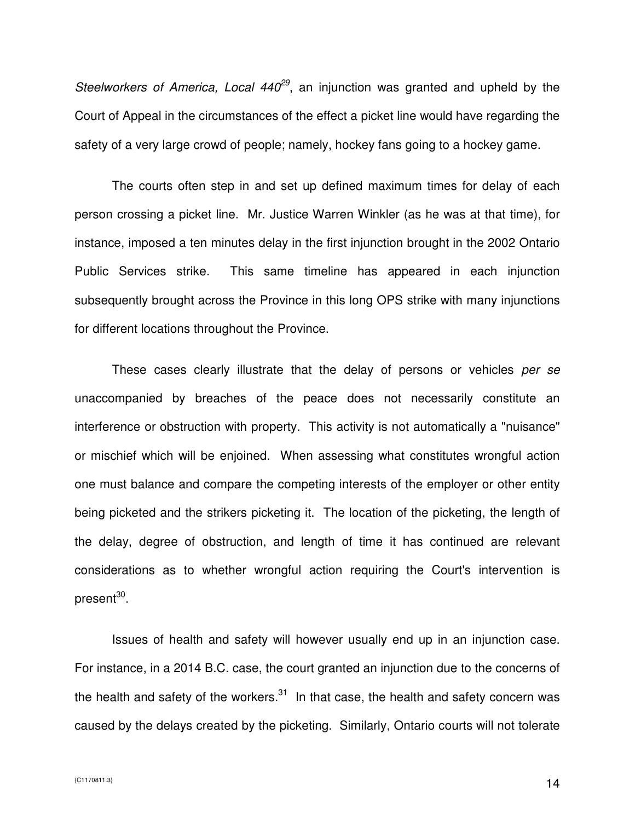Steelworkers of America, Local  $440^{29}$ , an injunction was granted and upheld by the Court of Appeal in the circumstances of the effect a picket line would have regarding the safety of a very large crowd of people; namely, hockey fans going to a hockey game.

The courts often step in and set up defined maximum times for delay of each person crossing a picket line. Mr. Justice Warren Winkler (as he was at that time), for instance, imposed a ten minutes delay in the first injunction brought in the 2002 Ontario Public Services strike. This same timeline has appeared in each injunction subsequently brought across the Province in this long OPS strike with many injunctions for different locations throughout the Province.

These cases clearly illustrate that the delay of persons or vehicles per se unaccompanied by breaches of the peace does not necessarily constitute an interference or obstruction with property. This activity is not automatically a "nuisance" or mischief which will be enjoined. When assessing what constitutes wrongful action one must balance and compare the competing interests of the employer or other entity being picketed and the strikers picketing it. The location of the picketing, the length of the delay, degree of obstruction, and length of time it has continued are relevant considerations as to whether wrongful action requiring the Court's intervention is present<sup>30</sup>.

Issues of health and safety will however usually end up in an injunction case. For instance, in a 2014 B.C. case, the court granted an injunction due to the concerns of the health and safety of the workers. $31$  In that case, the health and safety concern was caused by the delays created by the picketing. Similarly, Ontario courts will not tolerate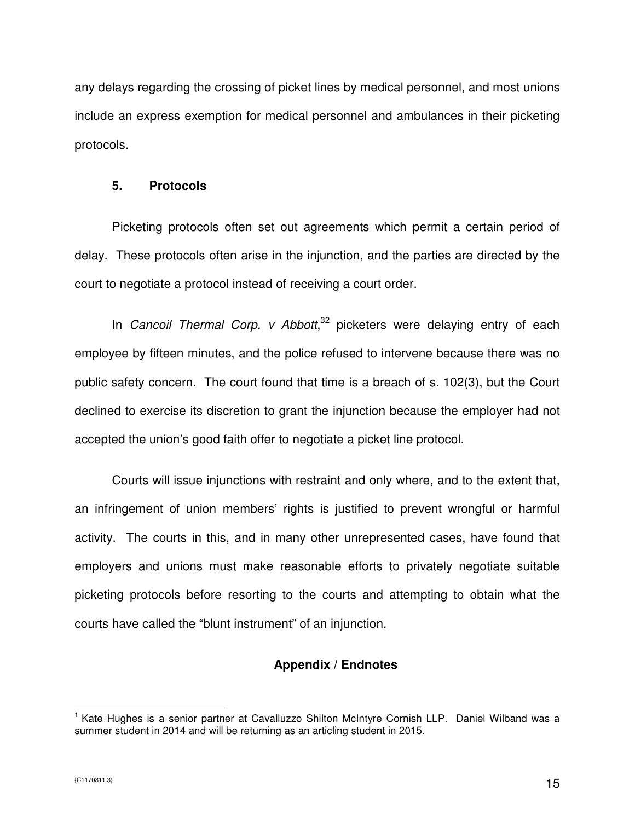any delays regarding the crossing of picket lines by medical personnel, and most unions include an express exemption for medical personnel and ambulances in their picketing protocols.

#### **5. Protocols**

Picketing protocols often set out agreements which permit a certain period of delay. These protocols often arise in the injunction, and the parties are directed by the court to negotiate a protocol instead of receiving a court order.

In Cancoil Thermal Corp. v Abbott, $32$  picketers were delaying entry of each employee by fifteen minutes, and the police refused to intervene because there was no public safety concern. The court found that time is a breach of s. 102(3), but the Court declined to exercise its discretion to grant the injunction because the employer had not accepted the union's good faith offer to negotiate a picket line protocol.

Courts will issue injunctions with restraint and only where, and to the extent that, an infringement of union members' rights is justified to prevent wrongful or harmful activity. The courts in this, and in many other unrepresented cases, have found that employers and unions must make reasonable efforts to privately negotiate suitable picketing protocols before resorting to the courts and attempting to obtain what the courts have called the "blunt instrument" of an injunction.

# **Appendix / Endnotes**

 $\overline{a}$ <sup>1</sup> Kate Hughes is a senior partner at Cavalluzzo Shilton McIntyre Cornish LLP. Daniel Wilband was a summer student in 2014 and will be returning as an articling student in 2015.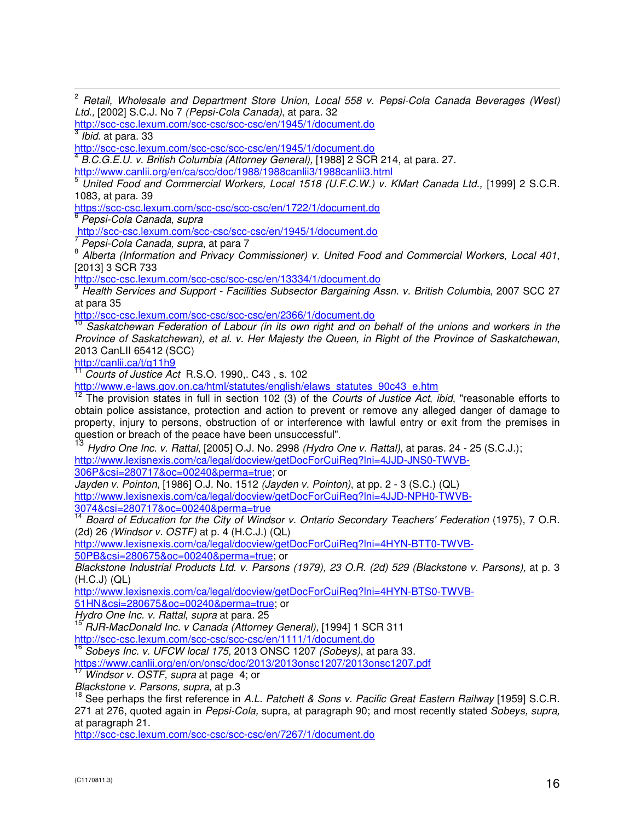$\mathbf{2}$ <sup>2</sup> Retail, Wholesale and Department Store Union, Local 558 v. Pepsi-Cola Canada Beverages (West) Ltd., [2002] S.C.J. No 7 (Pepsi-Cola Canada), at para. 32

http://scc-csc.lexum.com/scc-csc/scc-csc/en/1945/1/document.do <sup>3</sup> Ibid. at para. 33

http://scc-csc.lexum.com/scc-csc/scc-csc/en/1945/1/document.do

4 B.C.G.E.U. v. British Columbia (Attorney General), [1988] 2 SCR 214, at para. 27.

http://www.canlii.org/en/ca/scc/doc/1988/1988canlii3/1988canlii3.html

<sup>5</sup> United Food and Commercial Workers, Local 1518 (U.F.C.W.) v. KMart Canada Ltd., [1999] 2 S.C.R. 1083, at para. 39

https://scc-csc.lexum.com/scc-csc/scc-csc/en/1722/1/document.do

6 Pepsi-Cola Canada, supra

http://scc-csc.lexum.com/scc-csc/scc-csc/en/1945/1/document.do

7 Pepsi-Cola Canada, supra, at para 7

<sup>8</sup> Alberta (Information and Privacy Commissioner) v. United Food and Commercial Workers, Local 401, [2013] 3 SCR 733

http://scc-csc.lexum.com/scc-csc/scc-csc/en/13334/1/document.do

<sup>9</sup> Health Services and Support - Facilities Subsector Bargaining Assn. v. British Columbia, 2007 SCC 27 at para 35

http://scc-csc.lexum.com/scc-csc/scc-csc/en/2366/1/document.do

Saskatchewan Federation of Labour (in its own right and on behalf of the unions and workers in the Province of Saskatchewan), et al. v. Her Majesty the Queen, in Right of the Province of Saskatchewan, 2013 CanLII 65412 (SCC)

http://canlii.ca/t/g11h9

 $\frac{11}{11}$  Courts of Justice Act R.S.O. 1990,. C43, s. 102

http://www.e-laws.gov.on.ca/html/statutes/english/elaws\_statutes\_90c43\_e.htm

<sup>12</sup> The provision states in full in section 102 (3) of the Courts of Justice Act, ibid, "reasonable efforts to obtain police assistance, protection and action to prevent or remove any alleged danger of damage to property, injury to persons, obstruction of or interference with lawful entry or exit from the premises in question or breach of the peace have been unsuccessful".

<sup>13</sup> Hydro One Inc. v. Rattal, [2005] O.J. No. 2998 (Hydro One v. Rattal), at paras. 24 - 25 (S.C.J.); http://www.lexisnexis.com/ca/legal/docview/getDocForCuiReq?lni=4JJD-JNS0-TWVB-

306P&csi=280717&oc=00240&perma=true; or

Jayden v. Pointon, [1986] O.J. No. 1512 (Jayden v. Pointon), at pp. 2 - 3 (S.C.) (QL) http://www.lexisnexis.com/ca/legal/docview/getDocForCuiReq?lni=4JJD-NPH0-TWVB-3074&csi=280717&oc=00240&perma=true

<sup>14</sup> Board of Education for the City of Windsor v. Ontario Secondary Teachers' Federation (1975), 7 O.R. (2d) 26 (Windsor v. OSTF) at p. 4 (H.C.J.) (QL)

http://www.lexisnexis.com/ca/legal/docview/getDocForCuiReq?lni=4HYN-BTT0-TWVB-

50PB&csi=280675&oc=00240&perma=true; or

Blackstone Industrial Products Ltd. v. Parsons (1979), 23 O.R. (2d) 529 (Blackstone v. Parsons), at p. 3 (H.C.J) (QL)

http://www.lexisnexis.com/ca/legal/docview/getDocForCuiReq?lni=4HYN-BTS0-TWVB-

51HN&csi=280675&oc=00240&perma=true; or

Hydro One Inc. v. Rattal, supra at para. 25

<sup>15'</sup> RJR-MacDonald Inc. v Canada (Attorney General), [1994] 1 SCR 311

http://scc-csc.lexum.com/scc-csc/scc-csc/en/1111/1/document.do

Sobeys Inc. v. UFCW local 175, 2013 ONSC 1207 (Sobeys), at para 33.

https://www.canlii.org/en/on/onsc/doc/2013/2013onsc1207/2013onsc1207.pdf<br>17 Mindeer : COTT

Windsor v. OSTF, supra at page 4; or

Blackstone v. Parsons, supra, at p.3

<sup>18</sup> See perhaps the first reference in A.L. Patchett & Sons v. Pacific Great Eastern Railway [1959] S.C.R. 271 at 276, quoted again in Pepsi-Cola, supra, at paragraph 90; and most recently stated Sobeys, supra, at paragraph 21.

http://scc-csc.lexum.com/scc-csc/scc-csc/en/7267/1/document.do